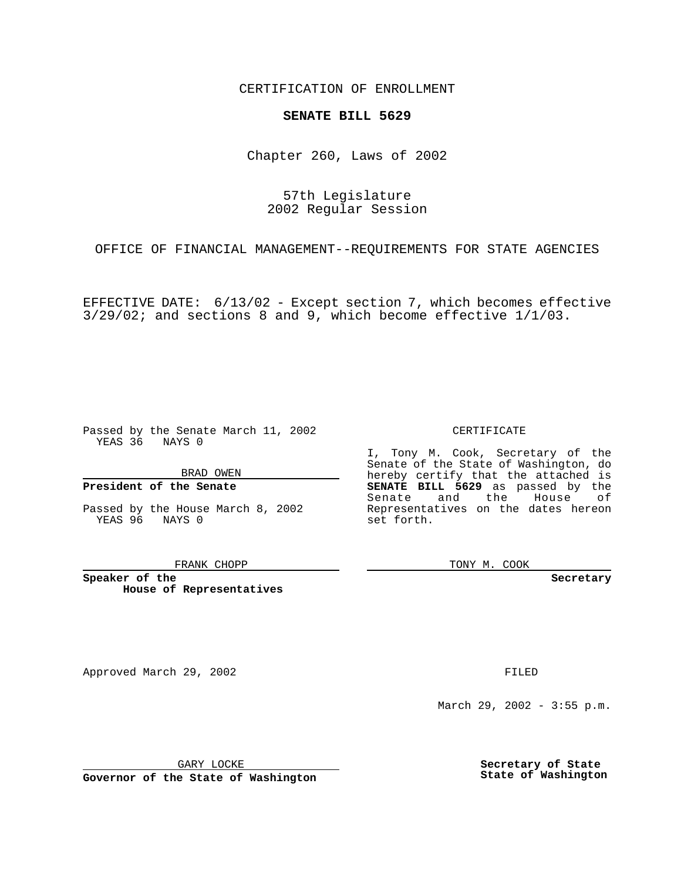CERTIFICATION OF ENROLLMENT

## **SENATE BILL 5629**

Chapter 260, Laws of 2002

57th Legislature 2002 Regular Session

OFFICE OF FINANCIAL MANAGEMENT--REQUIREMENTS FOR STATE AGENCIES

EFFECTIVE DATE: 6/13/02 - Except section 7, which becomes effective 3/29/02; and sections 8 and 9, which become effective 1/1/03.

Passed by the Senate March 11, 2002 YEAS 36 NAYS 0

BRAD OWEN

## **President of the Senate**

Passed by the House March 8, 2002 YEAS 96 NAYS 0

FRANK CHOPP

**Speaker of the House of Representatives** CERTIFICATE

I, Tony M. Cook, Secretary of the Senate of the State of Washington, do hereby certify that the attached is **SENATE BILL 5629** as passed by the Senate and the House of Representatives on the dates hereon set forth.

TONY M. COOK

**Secretary**

Approved March 29, 2002 **FILED** 

March 29, 2002 - 3:55 p.m.

GARY LOCKE

**Governor of the State of Washington**

**Secretary of State State of Washington**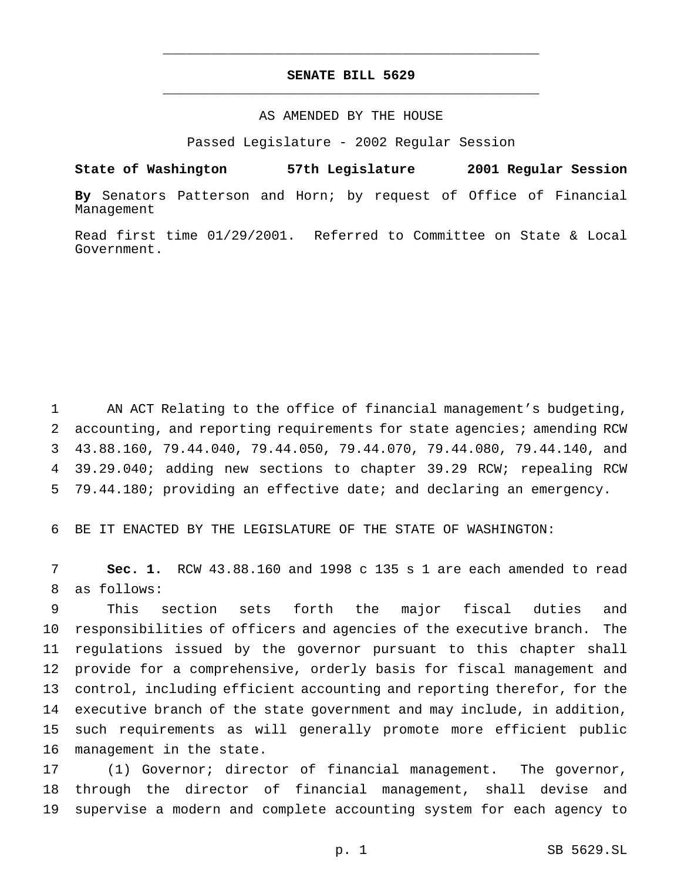## **SENATE BILL 5629** \_\_\_\_\_\_\_\_\_\_\_\_\_\_\_\_\_\_\_\_\_\_\_\_\_\_\_\_\_\_\_\_\_\_\_\_\_\_\_\_\_\_\_\_\_\_\_

\_\_\_\_\_\_\_\_\_\_\_\_\_\_\_\_\_\_\_\_\_\_\_\_\_\_\_\_\_\_\_\_\_\_\_\_\_\_\_\_\_\_\_\_\_\_\_

## AS AMENDED BY THE HOUSE

Passed Legislature - 2002 Regular Session

**State of Washington 57th Legislature 2001 Regular Session**

**By** Senators Patterson and Horn; by request of Office of Financial Management

Read first time 01/29/2001. Referred to Committee on State & Local Government.

 AN ACT Relating to the office of financial management's budgeting, accounting, and reporting requirements for state agencies; amending RCW 43.88.160, 79.44.040, 79.44.050, 79.44.070, 79.44.080, 79.44.140, and 39.29.040; adding new sections to chapter 39.29 RCW; repealing RCW 79.44.180; providing an effective date; and declaring an emergency.

BE IT ENACTED BY THE LEGISLATURE OF THE STATE OF WASHINGTON:

 **Sec. 1.** RCW 43.88.160 and 1998 c 135 s 1 are each amended to read as follows:

 This section sets forth the major fiscal duties and responsibilities of officers and agencies of the executive branch. The regulations issued by the governor pursuant to this chapter shall provide for a comprehensive, orderly basis for fiscal management and control, including efficient accounting and reporting therefor, for the executive branch of the state government and may include, in addition, such requirements as will generally promote more efficient public management in the state.

 (1) Governor; director of financial management. The governor, through the director of financial management, shall devise and supervise a modern and complete accounting system for each agency to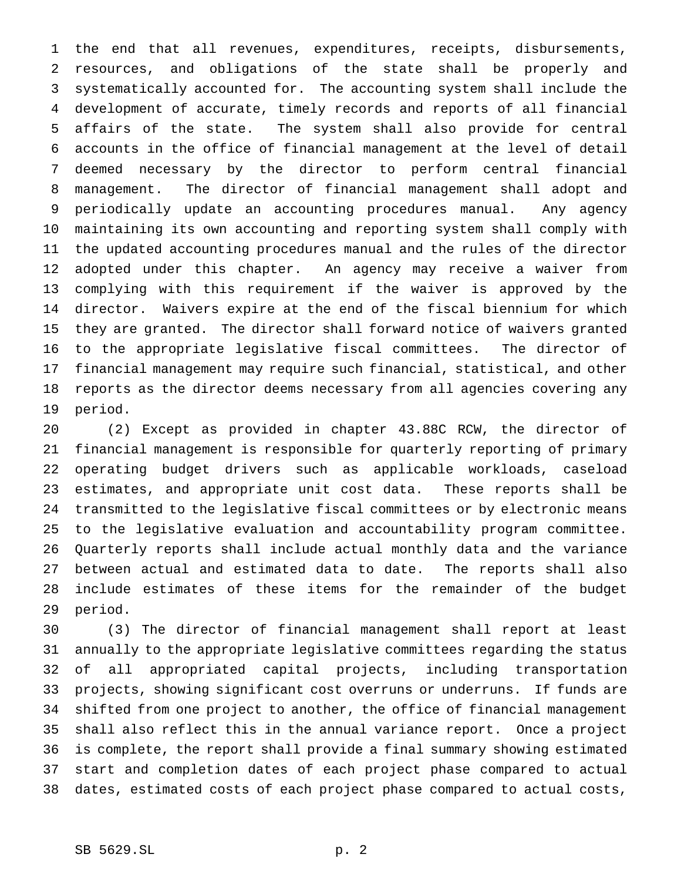the end that all revenues, expenditures, receipts, disbursements, resources, and obligations of the state shall be properly and systematically accounted for. The accounting system shall include the development of accurate, timely records and reports of all financial affairs of the state. The system shall also provide for central accounts in the office of financial management at the level of detail deemed necessary by the director to perform central financial management. The director of financial management shall adopt and periodically update an accounting procedures manual. Any agency maintaining its own accounting and reporting system shall comply with the updated accounting procedures manual and the rules of the director adopted under this chapter. An agency may receive a waiver from complying with this requirement if the waiver is approved by the director. Waivers expire at the end of the fiscal biennium for which they are granted. The director shall forward notice of waivers granted to the appropriate legislative fiscal committees. The director of financial management may require such financial, statistical, and other reports as the director deems necessary from all agencies covering any period.

 (2) Except as provided in chapter 43.88C RCW, the director of financial management is responsible for quarterly reporting of primary operating budget drivers such as applicable workloads, caseload estimates, and appropriate unit cost data. These reports shall be transmitted to the legislative fiscal committees or by electronic means to the legislative evaluation and accountability program committee. Quarterly reports shall include actual monthly data and the variance between actual and estimated data to date. The reports shall also include estimates of these items for the remainder of the budget period.

 (3) The director of financial management shall report at least annually to the appropriate legislative committees regarding the status of all appropriated capital projects, including transportation projects, showing significant cost overruns or underruns. If funds are shifted from one project to another, the office of financial management shall also reflect this in the annual variance report. Once a project is complete, the report shall provide a final summary showing estimated start and completion dates of each project phase compared to actual dates, estimated costs of each project phase compared to actual costs,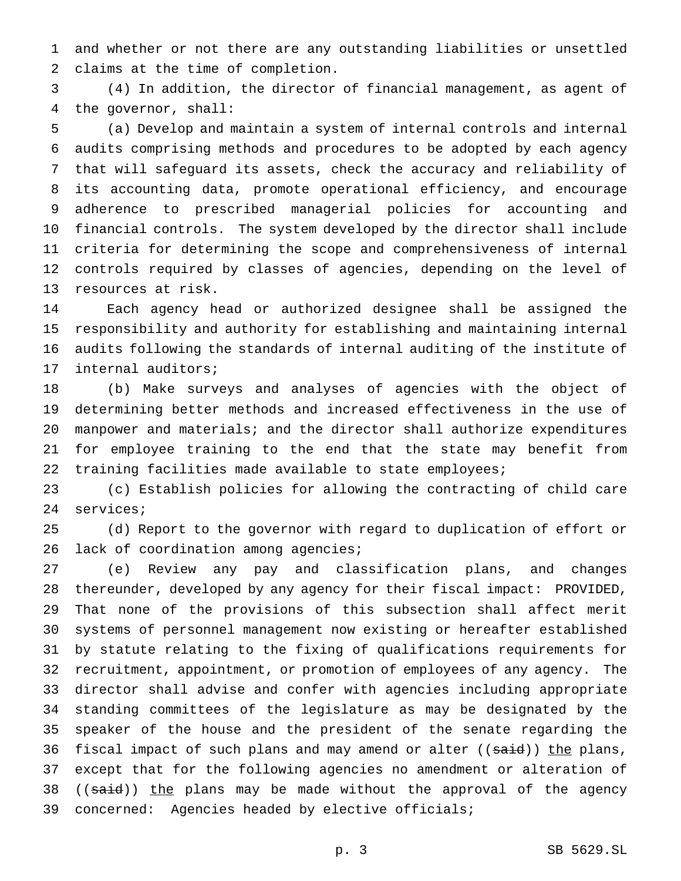and whether or not there are any outstanding liabilities or unsettled claims at the time of completion.

 (4) In addition, the director of financial management, as agent of the governor, shall:

 (a) Develop and maintain a system of internal controls and internal audits comprising methods and procedures to be adopted by each agency that will safeguard its assets, check the accuracy and reliability of its accounting data, promote operational efficiency, and encourage adherence to prescribed managerial policies for accounting and financial controls. The system developed by the director shall include criteria for determining the scope and comprehensiveness of internal controls required by classes of agencies, depending on the level of resources at risk.

 Each agency head or authorized designee shall be assigned the responsibility and authority for establishing and maintaining internal audits following the standards of internal auditing of the institute of internal auditors;

 (b) Make surveys and analyses of agencies with the object of determining better methods and increased effectiveness in the use of manpower and materials; and the director shall authorize expenditures for employee training to the end that the state may benefit from training facilities made available to state employees;

 (c) Establish policies for allowing the contracting of child care services;

 (d) Report to the governor with regard to duplication of effort or 26 lack of coordination among agencies;

 (e) Review any pay and classification plans, and changes thereunder, developed by any agency for their fiscal impact: PROVIDED, That none of the provisions of this subsection shall affect merit systems of personnel management now existing or hereafter established by statute relating to the fixing of qualifications requirements for recruitment, appointment, or promotion of employees of any agency. The director shall advise and confer with agencies including appropriate standing committees of the legislature as may be designated by the speaker of the house and the president of the senate regarding the 36 fiscal impact of such plans and may amend or alter ((said)) the plans, except that for the following agencies no amendment or alteration of 38 ((said)) the plans may be made without the approval of the agency concerned: Agencies headed by elective officials;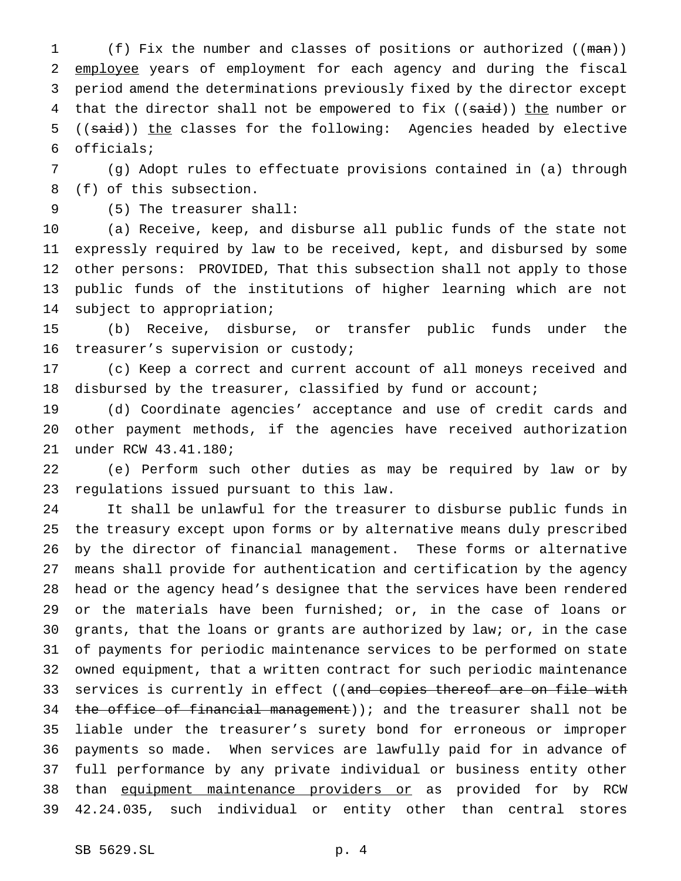1 (f) Fix the number and classes of positions or authorized ((man)) 2 employee years of employment for each agency and during the fiscal period amend the determinations previously fixed by the director except 4 that the director shall not be empowered to fix ((said)) the number or 5 ((said)) the classes for the following: Agencies headed by elective officials;

 (g) Adopt rules to effectuate provisions contained in (a) through (f) of this subsection.

(5) The treasurer shall:

 (a) Receive, keep, and disburse all public funds of the state not expressly required by law to be received, kept, and disbursed by some other persons: PROVIDED, That this subsection shall not apply to those public funds of the institutions of higher learning which are not subject to appropriation;

 (b) Receive, disburse, or transfer public funds under the treasurer's supervision or custody;

 (c) Keep a correct and current account of all moneys received and disbursed by the treasurer, classified by fund or account;

 (d) Coordinate agencies' acceptance and use of credit cards and other payment methods, if the agencies have received authorization under RCW 43.41.180;

 (e) Perform such other duties as may be required by law or by regulations issued pursuant to this law.

 It shall be unlawful for the treasurer to disburse public funds in the treasury except upon forms or by alternative means duly prescribed by the director of financial management. These forms or alternative means shall provide for authentication and certification by the agency head or the agency head's designee that the services have been rendered or the materials have been furnished; or, in the case of loans or grants, that the loans or grants are authorized by law; or, in the case of payments for periodic maintenance services to be performed on state owned equipment, that a written contract for such periodic maintenance 33 services is currently in effect ((and copies thereof are on file with 34 the office of financial management)); and the treasurer shall not be liable under the treasurer's surety bond for erroneous or improper payments so made. When services are lawfully paid for in advance of full performance by any private individual or business entity other 38 than equipment maintenance providers or as provided for by RCW 42.24.035, such individual or entity other than central stores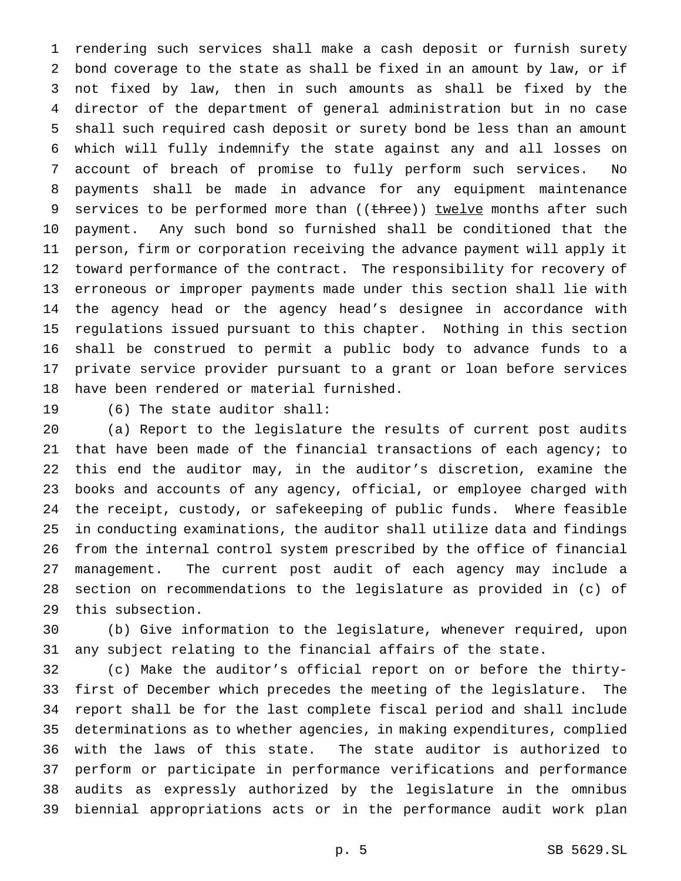rendering such services shall make a cash deposit or furnish surety bond coverage to the state as shall be fixed in an amount by law, or if not fixed by law, then in such amounts as shall be fixed by the director of the department of general administration but in no case shall such required cash deposit or surety bond be less than an amount which will fully indemnify the state against any and all losses on account of breach of promise to fully perform such services. No payments shall be made in advance for any equipment maintenance 9 services to be performed more than ((three)) twelve months after such payment. Any such bond so furnished shall be conditioned that the person, firm or corporation receiving the advance payment will apply it toward performance of the contract. The responsibility for recovery of erroneous or improper payments made under this section shall lie with the agency head or the agency head's designee in accordance with regulations issued pursuant to this chapter. Nothing in this section shall be construed to permit a public body to advance funds to a private service provider pursuant to a grant or loan before services have been rendered or material furnished.

(6) The state auditor shall:

 (a) Report to the legislature the results of current post audits that have been made of the financial transactions of each agency; to this end the auditor may, in the auditor's discretion, examine the books and accounts of any agency, official, or employee charged with the receipt, custody, or safekeeping of public funds. Where feasible in conducting examinations, the auditor shall utilize data and findings from the internal control system prescribed by the office of financial management. The current post audit of each agency may include a section on recommendations to the legislature as provided in (c) of this subsection.

 (b) Give information to the legislature, whenever required, upon any subject relating to the financial affairs of the state.

 (c) Make the auditor's official report on or before the thirty- first of December which precedes the meeting of the legislature. The report shall be for the last complete fiscal period and shall include determinations as to whether agencies, in making expenditures, complied with the laws of this state. The state auditor is authorized to perform or participate in performance verifications and performance audits as expressly authorized by the legislature in the omnibus biennial appropriations acts or in the performance audit work plan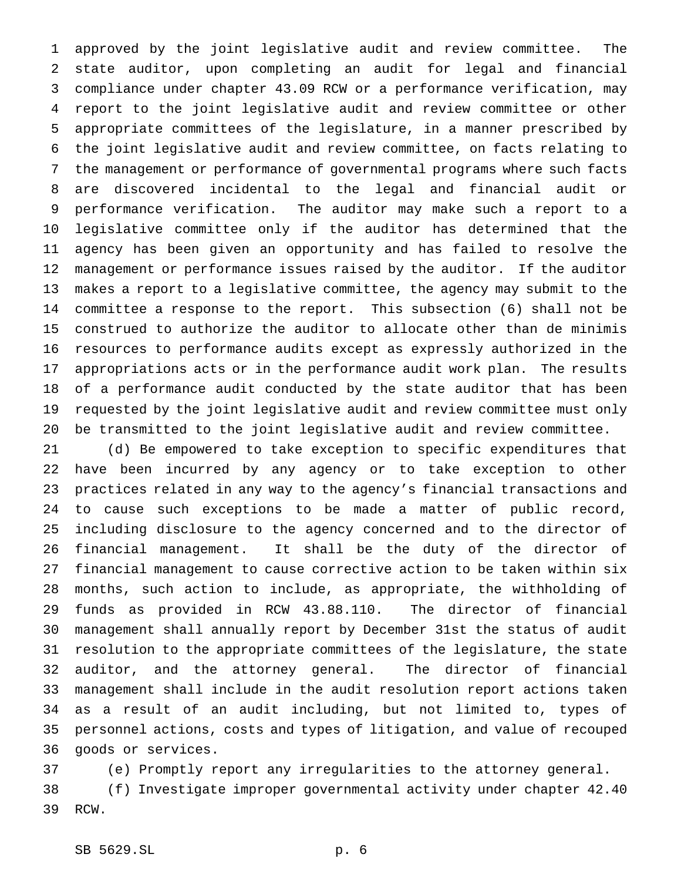approved by the joint legislative audit and review committee. The state auditor, upon completing an audit for legal and financial compliance under chapter 43.09 RCW or a performance verification, may report to the joint legislative audit and review committee or other appropriate committees of the legislature, in a manner prescribed by the joint legislative audit and review committee, on facts relating to the management or performance of governmental programs where such facts are discovered incidental to the legal and financial audit or performance verification. The auditor may make such a report to a legislative committee only if the auditor has determined that the agency has been given an opportunity and has failed to resolve the management or performance issues raised by the auditor. If the auditor makes a report to a legislative committee, the agency may submit to the committee a response to the report. This subsection (6) shall not be construed to authorize the auditor to allocate other than de minimis resources to performance audits except as expressly authorized in the appropriations acts or in the performance audit work plan. The results of a performance audit conducted by the state auditor that has been requested by the joint legislative audit and review committee must only be transmitted to the joint legislative audit and review committee.

 (d) Be empowered to take exception to specific expenditures that have been incurred by any agency or to take exception to other practices related in any way to the agency's financial transactions and to cause such exceptions to be made a matter of public record, including disclosure to the agency concerned and to the director of financial management. It shall be the duty of the director of financial management to cause corrective action to be taken within six months, such action to include, as appropriate, the withholding of funds as provided in RCW 43.88.110. The director of financial management shall annually report by December 31st the status of audit resolution to the appropriate committees of the legislature, the state auditor, and the attorney general. The director of financial management shall include in the audit resolution report actions taken as a result of an audit including, but not limited to, types of personnel actions, costs and types of litigation, and value of recouped goods or services.

 (e) Promptly report any irregularities to the attorney general. (f) Investigate improper governmental activity under chapter 42.40 RCW.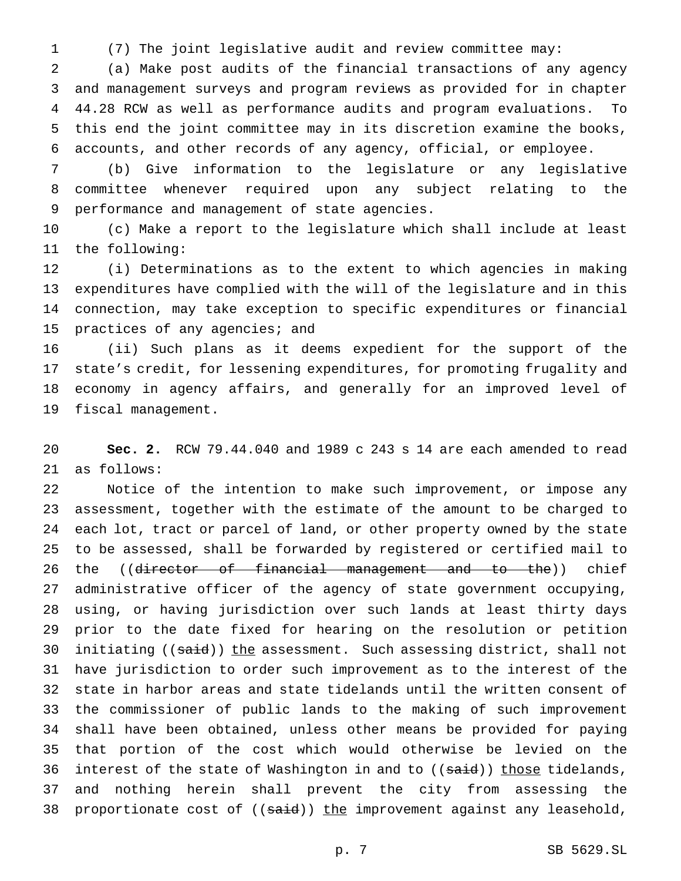(7) The joint legislative audit and review committee may:

 (a) Make post audits of the financial transactions of any agency and management surveys and program reviews as provided for in chapter 44.28 RCW as well as performance audits and program evaluations. To this end the joint committee may in its discretion examine the books, accounts, and other records of any agency, official, or employee.

 (b) Give information to the legislature or any legislative committee whenever required upon any subject relating to the performance and management of state agencies.

 (c) Make a report to the legislature which shall include at least the following:

 (i) Determinations as to the extent to which agencies in making expenditures have complied with the will of the legislature and in this connection, may take exception to specific expenditures or financial practices of any agencies; and

 (ii) Such plans as it deems expedient for the support of the state's credit, for lessening expenditures, for promoting frugality and economy in agency affairs, and generally for an improved level of fiscal management.

 **Sec. 2.** RCW 79.44.040 and 1989 c 243 s 14 are each amended to read as follows:

 Notice of the intention to make such improvement, or impose any assessment, together with the estimate of the amount to be charged to each lot, tract or parcel of land, or other property owned by the state to be assessed, shall be forwarded by registered or certified mail to 26 the ((director of financial management and to the)) chief administrative officer of the agency of state government occupying, using, or having jurisdiction over such lands at least thirty days prior to the date fixed for hearing on the resolution or petition 30 initiating ((said)) the assessment. Such assessing district, shall not have jurisdiction to order such improvement as to the interest of the state in harbor areas and state tidelands until the written consent of the commissioner of public lands to the making of such improvement shall have been obtained, unless other means be provided for paying that portion of the cost which would otherwise be levied on the 36 interest of the state of Washington in and to ((said)) those tidelands, and nothing herein shall prevent the city from assessing the 38 proportionate cost of ((said)) the improvement against any leasehold,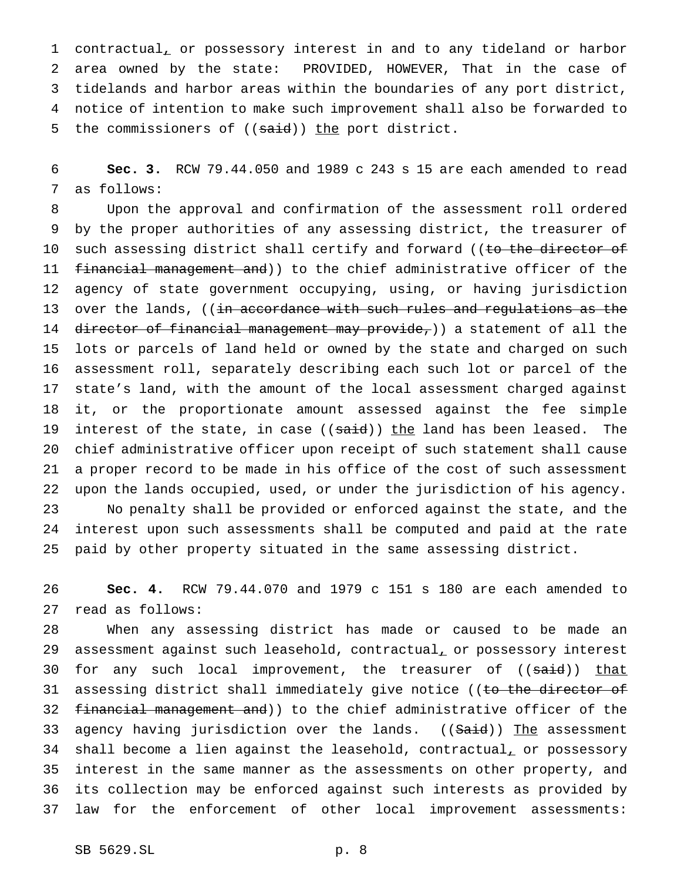contractual, or possessory interest in and to any tideland or harbor area owned by the state: PROVIDED, HOWEVER, That in the case of tidelands and harbor areas within the boundaries of any port district, notice of intention to make such improvement shall also be forwarded to 5 the commissioners of ((said)) the port district.

 **Sec. 3.** RCW 79.44.050 and 1989 c 243 s 15 are each amended to read as follows:

 Upon the approval and confirmation of the assessment roll ordered by the proper authorities of any assessing district, the treasurer of 10 such assessing district shall certify and forward ((to the director of 11 financial management and)) to the chief administrative officer of the agency of state government occupying, using, or having jurisdiction 13 over the lands, ((in accordance with such rules and regulations as the 14 director of financial management may provide,)) a statement of all the lots or parcels of land held or owned by the state and charged on such assessment roll, separately describing each such lot or parcel of the state's land, with the amount of the local assessment charged against it, or the proportionate amount assessed against the fee simple 19 interest of the state, in case ((said)) the land has been leased. The chief administrative officer upon receipt of such statement shall cause a proper record to be made in his office of the cost of such assessment upon the lands occupied, used, or under the jurisdiction of his agency. No penalty shall be provided or enforced against the state, and the interest upon such assessments shall be computed and paid at the rate paid by other property situated in the same assessing district.

 **Sec. 4.** RCW 79.44.070 and 1979 c 151 s 180 are each amended to read as follows:

 When any assessing district has made or caused to be made an 29 assessment against such leasehold, contractual, or possessory interest 30 for any such local improvement, the treasurer of ((said)) that 31 assessing district shall immediately give notice ((to the director of 32 financial management and)) to the chief administrative officer of the 33 agency having jurisdiction over the lands. ((Said)) The assessment 34 shall become a lien against the leasehold, contractual, or possessory interest in the same manner as the assessments on other property, and its collection may be enforced against such interests as provided by law for the enforcement of other local improvement assessments: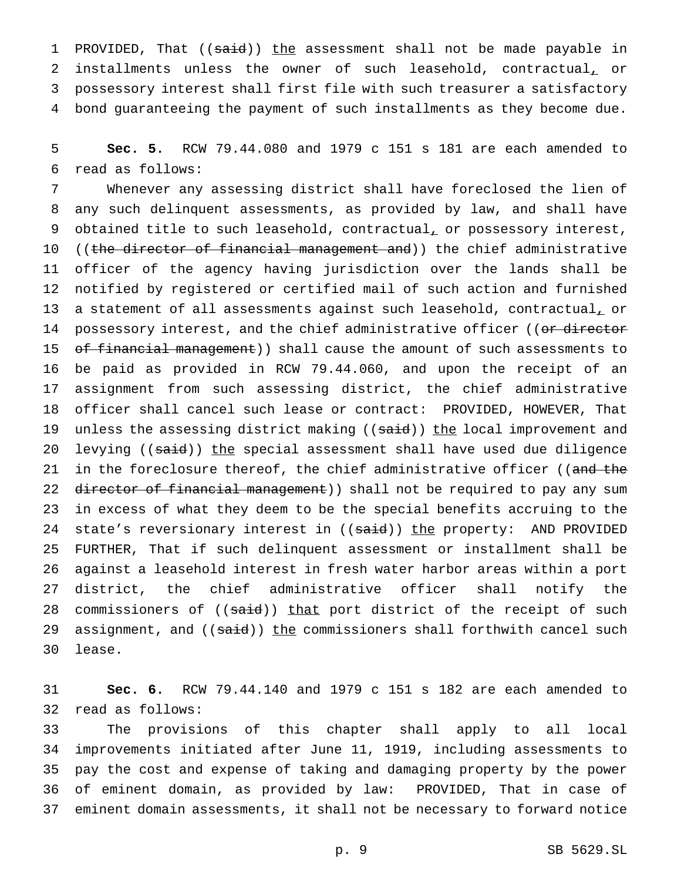1 PROVIDED, That ((said)) the assessment shall not be made payable in 2 installments unless the owner of such leasehold, contractual, or possessory interest shall first file with such treasurer a satisfactory bond guaranteeing the payment of such installments as they become due.

 **Sec. 5.** RCW 79.44.080 and 1979 c 151 s 181 are each amended to read as follows:

 Whenever any assessing district shall have foreclosed the lien of any such delinquent assessments, as provided by law, and shall have 9 obtained title to such leasehold, contractual, or possessory interest, 10 ((the director of financial management and)) the chief administrative officer of the agency having jurisdiction over the lands shall be notified by registered or certified mail of such action and furnished 13 a statement of all assessments against such leasehold, contractual, or 14 possessory interest, and the chief administrative officer ((or director 15 of financial management)) shall cause the amount of such assessments to be paid as provided in RCW 79.44.060, and upon the receipt of an assignment from such assessing district, the chief administrative officer shall cancel such lease or contract: PROVIDED, HOWEVER, That 19 unless the assessing district making ((said)) the local improvement and 20 levying ((said)) the special assessment shall have used due diligence 21 in the foreclosure thereof, the chief administrative officer ((and the 22 director of financial management)) shall not be required to pay any sum in excess of what they deem to be the special benefits accruing to the 24 state's reversionary interest in ((said)) the property: AND PROVIDED FURTHER, That if such delinquent assessment or installment shall be against a leasehold interest in fresh water harbor areas within a port district, the chief administrative officer shall notify the 28 commissioners of ((said)) that port district of the receipt of such 29 assignment, and ((said)) the commissioners shall forthwith cancel such lease.

 **Sec. 6.** RCW 79.44.140 and 1979 c 151 s 182 are each amended to read as follows:

 The provisions of this chapter shall apply to all local improvements initiated after June 11, 1919, including assessments to pay the cost and expense of taking and damaging property by the power of eminent domain, as provided by law: PROVIDED, That in case of eminent domain assessments, it shall not be necessary to forward notice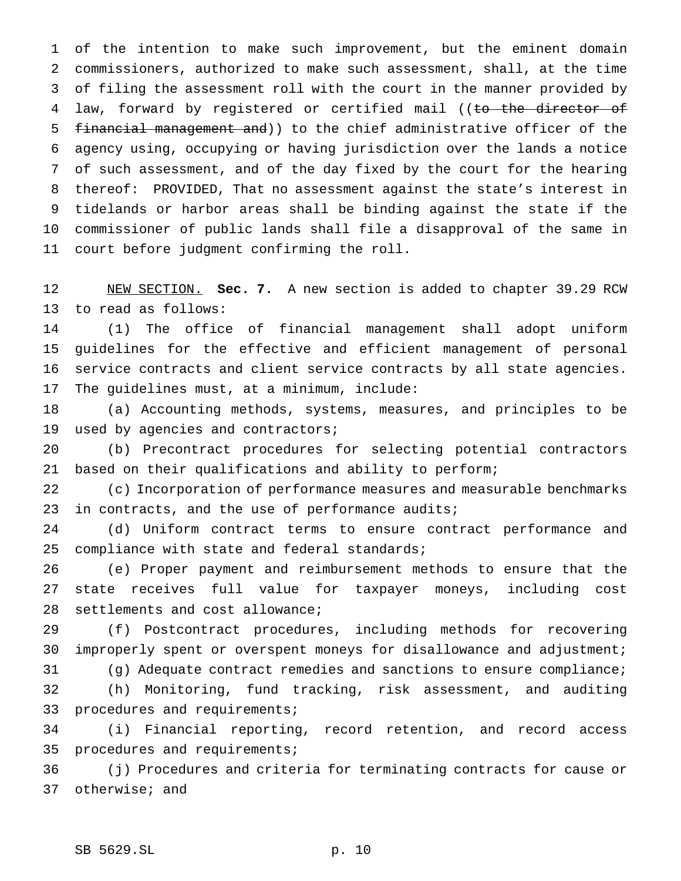of the intention to make such improvement, but the eminent domain commissioners, authorized to make such assessment, shall, at the time of filing the assessment roll with the court in the manner provided by 4 law, forward by registered or certified mail ((to the director of financial management and)) to the chief administrative officer of the agency using, occupying or having jurisdiction over the lands a notice of such assessment, and of the day fixed by the court for the hearing thereof: PROVIDED, That no assessment against the state's interest in tidelands or harbor areas shall be binding against the state if the commissioner of public lands shall file a disapproval of the same in court before judgment confirming the roll.

 NEW SECTION. **Sec. 7.** A new section is added to chapter 39.29 RCW to read as follows:

 (1) The office of financial management shall adopt uniform guidelines for the effective and efficient management of personal service contracts and client service contracts by all state agencies. The guidelines must, at a minimum, include:

 (a) Accounting methods, systems, measures, and principles to be used by agencies and contractors;

 (b) Precontract procedures for selecting potential contractors based on their qualifications and ability to perform;

 (c) Incorporation of performance measures and measurable benchmarks 23 in contracts, and the use of performance audits;

 (d) Uniform contract terms to ensure contract performance and compliance with state and federal standards;

 (e) Proper payment and reimbursement methods to ensure that the state receives full value for taxpayer moneys, including cost settlements and cost allowance;

 (f) Postcontract procedures, including methods for recovering improperly spent or overspent moneys for disallowance and adjustment;

(g) Adequate contract remedies and sanctions to ensure compliance;

 (h) Monitoring, fund tracking, risk assessment, and auditing 33 procedures and requirements;

 (i) Financial reporting, record retention, and record access procedures and requirements;

 (j) Procedures and criteria for terminating contracts for cause or otherwise; and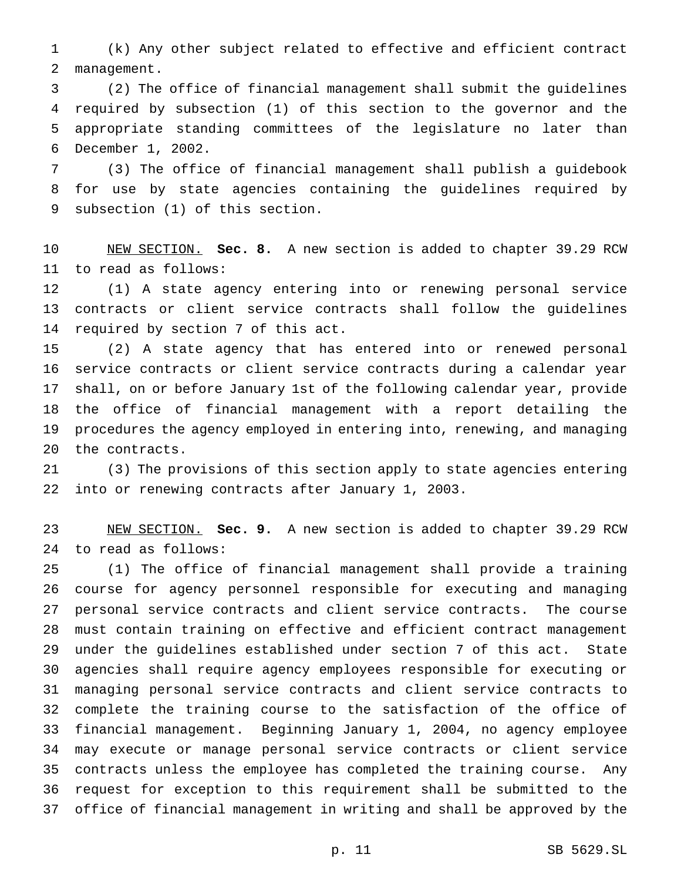(k) Any other subject related to effective and efficient contract management.

 (2) The office of financial management shall submit the guidelines required by subsection (1) of this section to the governor and the appropriate standing committees of the legislature no later than December 1, 2002.

 (3) The office of financial management shall publish a guidebook for use by state agencies containing the guidelines required by subsection (1) of this section.

 NEW SECTION. **Sec. 8.** A new section is added to chapter 39.29 RCW to read as follows:

 (1) A state agency entering into or renewing personal service contracts or client service contracts shall follow the guidelines required by section 7 of this act.

 (2) A state agency that has entered into or renewed personal service contracts or client service contracts during a calendar year shall, on or before January 1st of the following calendar year, provide the office of financial management with a report detailing the procedures the agency employed in entering into, renewing, and managing the contracts.

 (3) The provisions of this section apply to state agencies entering into or renewing contracts after January 1, 2003.

 NEW SECTION. **Sec. 9.** A new section is added to chapter 39.29 RCW to read as follows:

 (1) The office of financial management shall provide a training course for agency personnel responsible for executing and managing personal service contracts and client service contracts. The course must contain training on effective and efficient contract management under the guidelines established under section 7 of this act. State agencies shall require agency employees responsible for executing or managing personal service contracts and client service contracts to complete the training course to the satisfaction of the office of financial management. Beginning January 1, 2004, no agency employee may execute or manage personal service contracts or client service contracts unless the employee has completed the training course. Any request for exception to this requirement shall be submitted to the office of financial management in writing and shall be approved by the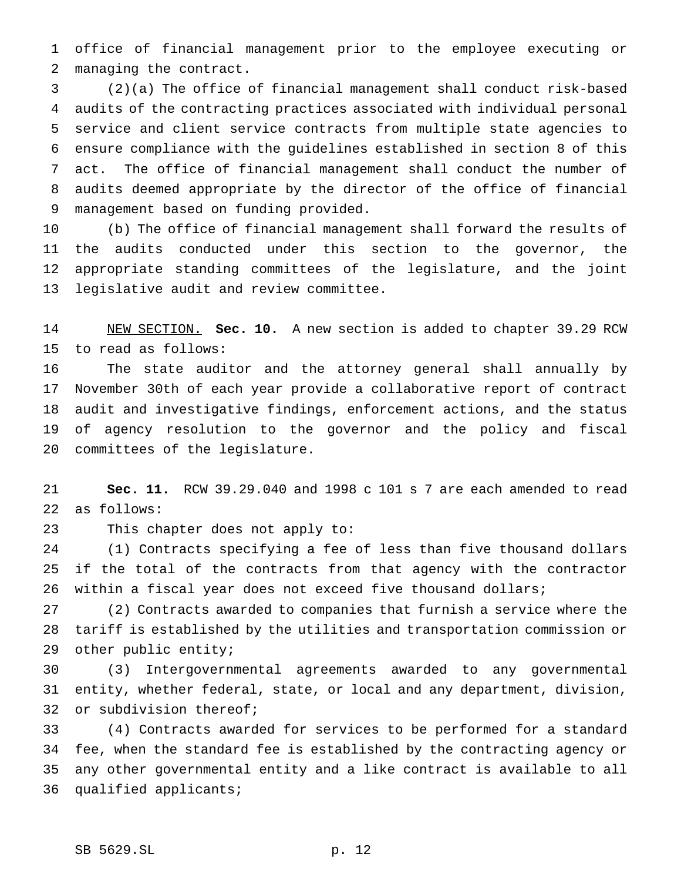office of financial management prior to the employee executing or managing the contract.

 (2)(a) The office of financial management shall conduct risk-based audits of the contracting practices associated with individual personal service and client service contracts from multiple state agencies to ensure compliance with the guidelines established in section 8 of this act. The office of financial management shall conduct the number of audits deemed appropriate by the director of the office of financial management based on funding provided.

 (b) The office of financial management shall forward the results of the audits conducted under this section to the governor, the appropriate standing committees of the legislature, and the joint legislative audit and review committee.

 NEW SECTION. **Sec. 10.** A new section is added to chapter 39.29 RCW to read as follows:

 The state auditor and the attorney general shall annually by November 30th of each year provide a collaborative report of contract audit and investigative findings, enforcement actions, and the status of agency resolution to the governor and the policy and fiscal committees of the legislature.

 **Sec. 11.** RCW 39.29.040 and 1998 c 101 s 7 are each amended to read as follows:

This chapter does not apply to:

 (1) Contracts specifying a fee of less than five thousand dollars if the total of the contracts from that agency with the contractor within a fiscal year does not exceed five thousand dollars;

 (2) Contracts awarded to companies that furnish a service where the tariff is established by the utilities and transportation commission or other public entity;

 (3) Intergovernmental agreements awarded to any governmental entity, whether federal, state, or local and any department, division, or subdivision thereof;

 (4) Contracts awarded for services to be performed for a standard fee, when the standard fee is established by the contracting agency or any other governmental entity and a like contract is available to all qualified applicants;